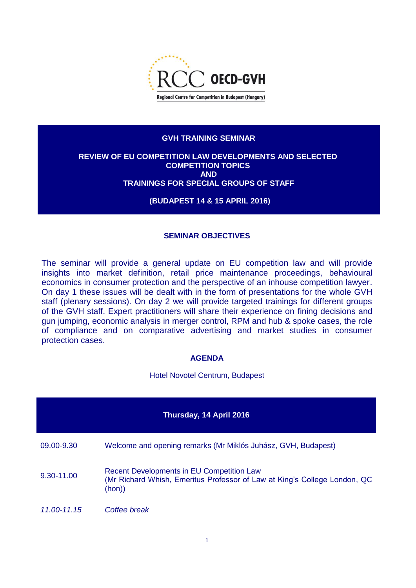

### **GVH TRAINING SEMINAR**

#### **REVIEW OF EU COMPETITION LAW DEVELOPMENTS AND SELECTED COMPETITION TOPICS AND TRAININGS FOR SPECIAL GROUPS OF STAFF**

# **(BUDAPEST 14 & 15 APRIL 2016)**

# **SEMINAR OBJECTIVES**

The seminar will provide a general update on EU competition law and will provide insights into market definition, retail price maintenance proceedings, behavioural economics in consumer protection and the perspective of an inhouse competition lawyer. On day 1 these issues will be dealt with in the form of presentations for the whole GVH staff (plenary sessions). On day 2 we will provide targeted trainings for different groups of the GVH staff. Expert practitioners will share their experience on fining decisions and gun jumping, economic analysis in merger control, RPM and hub & spoke cases, the role of compliance and on comparative advertising and market studies in consumer protection cases.

#### **AGENDA**

Hotel Novotel Centrum, Budapest

| Thursday, 14 April 2016 |                                                                                                                                        |  |  |  |  |
|-------------------------|----------------------------------------------------------------------------------------------------------------------------------------|--|--|--|--|
| 09.00-9.30              | Welcome and opening remarks (Mr Miklós Juhász, GVH, Budapest)                                                                          |  |  |  |  |
| 9.30-11.00              | <b>Recent Developments in EU Competition Law</b><br>(Mr Richard Whish, Emeritus Professor of Law at King's College London, QC<br>(hon) |  |  |  |  |
| 11.00-11.15             | Coffee break                                                                                                                           |  |  |  |  |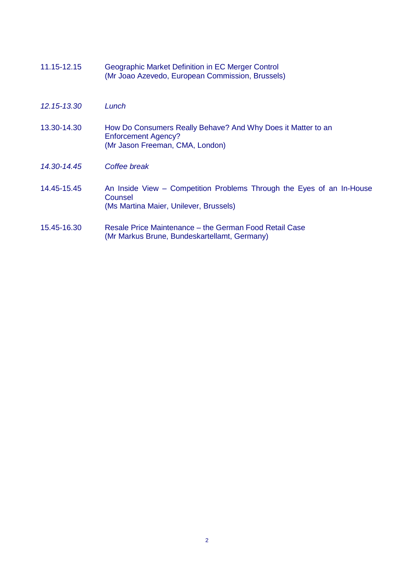| 11.15-12.15 | Geographic Market Definition in EC Merger Control<br>(Mr Joao Azevedo, European Commission, Brussels)                         |
|-------------|-------------------------------------------------------------------------------------------------------------------------------|
| 12.15-13.30 | Lunch                                                                                                                         |
| 13.30-14.30 | How Do Consumers Really Behave? And Why Does it Matter to an<br><b>Enforcement Agency?</b><br>(Mr Jason Freeman, CMA, London) |
| 14.30-14.45 | Coffee break                                                                                                                  |
| 14.45-15.45 | An Inside View – Competition Problems Through the Eyes of an In-House<br>Counsel<br>(Ms Martina Maier, Unilever, Brussels)    |
| 15.45-16.30 | Resale Price Maintenance - the German Food Retail Case<br>(Mr Markus Brune, Bundeskartellamt, Germany)                        |